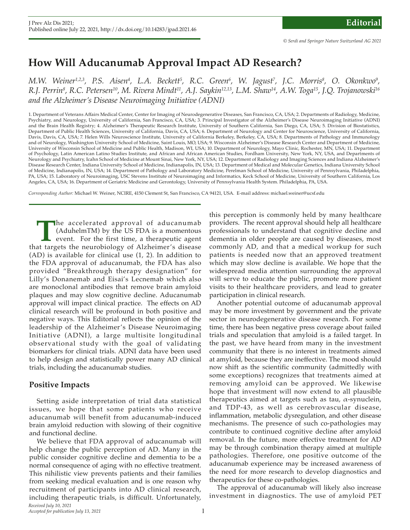## **How Will Aducanumab Approval Impact AD Research?**

*M.W. Weiner* $^{1,2,3}$ *, P.S. Aisen* $^{4}$ *, L.A. Beckett* $^{5}$ *, R.C. Green* $^{6}$ *, W. Jagust<sup>7</sup>, J.C. Morris* $^{8}$ *, O. Okonkwo* $^{9}$ *,* R.J. Perrin<sup>8</sup>, R.C. Petersen<sup>10</sup>, M. Rivera Mindt<sup>11</sup>, A.J. Saykin<sup>12,13</sup>, L.M. Shaw<sup>14</sup>, A.W. Toga<sup>15</sup>, J.Q. Trojanowski<sup>16</sup> *and the Alzheimer's Disease Neuroimaging Initiative (ADNI)*

1. Department of Veterans Afairs Medical Center, Center for Imaging of Neurodegenerative Diseases, San Francisco, CA, USA; 2. Departments of Radiology, Medicine, Psychiatry, and Neurology, University of California, San Francisco, CA, USA; 3. Principal Investigator of the Alzheimer's Disease Neuroimaging Initiative (ADNI) and the Brain Health Registry; 4. Alzheimer's Therapeutic Research Institute, University of Southern California, San Diego, CA, USA; 5. Division of Biostatistics, Department of Public Health Sciences, University of California, Davis, CA, USA; 6. Department of Neurology and Center for Neuroscience, University of California, Davis, Davis, CA, USA; 7. Helen Wills Neuroscience Institute, University of California Berkeley, Berkeley, CA, USA; 8. Departments of Pathology and Immunology and of Neurology, Washington University School of Medicine, Saint Louis, MO, USA; 9. Wisconsin Alzheimer's Disease Research Center and Department of Medicine, University of Wisconsin School of Medicine and Public Health, Madison, WI, USA; 10. Department of Neurology, Mayo Clinic, Rochester, MN, USA; 11. Department of Psychology, Latin American Latino Studies Institute, and African and African American Studies, Fordham University, New York, NY, USA, and Departments of Neurology and Psychiatry, Icahn School of Medicine at Mount Sinai, New York, NY, USA; 12. Department of Radiology and Imaging Sciences and Indiana Alzheimer's Disease Research Center, Indiana University School of Medicine, Indianapolis, IN, USA; 13. Department of Medical and Molecular Genetics, Indiana University School of Medicine, Indianapolis, IN, USA; 14. Department of Pathology and Laboratory Medicine, Perelman School of Medicine, University of Pennsylvania, Philadelphia, PA, USA; 15. Laboratory of Neuroimaging, USC Stevens Institute of Neuroimaging and Informatics, Keck School of Medicine, University of Southern California, Los Angeles, CA, USA; 16. Department of Geriatric Medicine and Gerontology, University of Pennsylvania Health System. Philadelphia, PA, USA.

*Corresponding Author:* Michael W. Weiner, NCIRE, 4150 Clement St, San Francisco, CA 94121, USA. E-mail address: michael.weiner@ucsf.edu

The accelerated approval of aducanumab (AduhelmTM) by the US FDA is a momentous event. For the first time, a therapeutic agent at targets the neurobiology of Alzheimer's disease (AduhelmTM) by the US FDA is a momentous event. For the first time, a therapeutic agent that targets the neurobiology of Alzheimer's disease (AD) is available for clinical use (1, 2). In addition to the FDA approval of aducanumab, the FDA has also provided "Breakthrough therapy designation" for Lilly's Donanemab and Eisai's Lecnemab which also are monoclonal antibodies that remove brain amyloid plaques and may slow cognitive decline. Aducanumab approval will impact clinical practice. The effects on AD clinical research will be profound in both positive and negative ways. This Editorial reflects the opinion of the leadership of the Alzheimer's Disease Neuroimaging Initiative (ADNI), a large multisite longitudinal observational study with the goal of validating biomarkers for clinical trials. ADNI data have been used to help design and statistically power many AD clinical trials, including the aducanumab studies.

## **Positive Impacts**

Setting aside interpretation of trial data statistical issues, we hope that some patients who receive aducanumab will benefit from aducanumab-induced brain amyloid reduction with slowing of their cognitive and functional decline.

We believe that FDA approval of aducanumab will help change the public perception of AD. Many in the public consider cognitive decline and dementia to be a normal consequence of aging with no effective treatment. This nihilistic view prevents patients and their families from seeking medical evaluation and is one reason why recruitment of participants into AD clinical research, including therapeutic trials, is difficult. Unfortunately,

this perception is commonly held by many healthcare providers. The recent approval should help all healthcare professionals to understand that cognitive decline and dementia in older people are caused by diseases, most commonly AD, and that a medical workup for such patients is needed now that an approved treatment which may slow decline is available. We hope that the widespread media attention surrounding the approval will serve to educate the public, promote more patient visits to their healthcare providers, and lead to greater participation in clinical research.

Another potential outcome of aducanumab approval may be more investment by government and the private sector in neurodegenerative disease research. For some time, there has been negative press coverage about failed trials and speculation that amyloid is a failed target. In the past, we have heard from many in the investment community that there is no interest in treatments aimed at amyloid, because they are ineffective. The mood should now shift as the scientific community (admittedly with some exceptions) recognizes that treatments aimed at removing amyloid can be approved. We likewise hope that investment will now extend to all plausible therapeutics aimed at targets such as tau, α-synuclein, and TDP-43, as well as cerebrovascular disease, inflammation, metabolic dysregulation, and other disease mechanisms. The presence of such co-pathologies may contribute to continued cognitive decline after amyloid removal. In the future, more effective treatment for AD may be through combination therapy aimed at multiple pathologies. Therefore, one positive outcome of the aducanumab experience may be increased awareness of the need for more research to develop diagnostics and therapeutics for these co-pathologies.

The approval of aducanumab will likely also increase investment in diagnostics. The use of amyloid PET